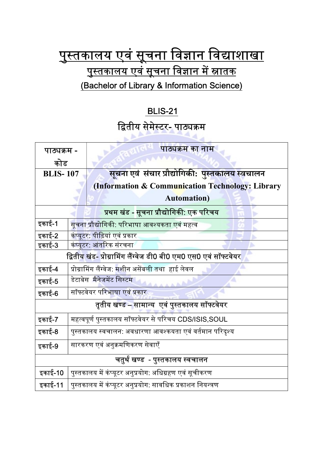## <u>पुस्तकालय एवं सूचना विज्ञान विद्याशाखा</u> <u>पुस्तकालय एवं सूचना विज्ञान में स्नातक</u> (Bachelor of Library & Information Science)

## BLIS-21

## द्वितीय सेमेस्टर- पाठ्यक्रम

2445

| पाठ्यक्रम -                                                      |                                                                 | पाठ्यक्रम का नाम                                       |
|------------------------------------------------------------------|-----------------------------------------------------------------|--------------------------------------------------------|
| कोड                                                              |                                                                 |                                                        |
| <b>BLIS-107</b>                                                  |                                                                 | <u>सूचना एवं संचार प्रौद्योगिकी: पुस्तकालय स्वचालन</u> |
|                                                                  |                                                                 | (Information & Communication Technology: Library       |
|                                                                  |                                                                 | <b>Automation</b> )                                    |
| प्रथम खंड - सूचना प्रौद्योगिकी: एक परिचय                         |                                                                 |                                                        |
| इकाई-1                                                           |                                                                 | सूचना प्रौद्योगिकी: परिभाषा आवश्यकता एवं महत्व         |
| इकाई-2                                                           |                                                                 | कंप्यूटर: पीढ़ियां एवं प्रकार                          |
| इकाई-3                                                           | कंप्यूटर: आंतरिक संरचना                                         |                                                        |
| द्वितीय खंड- प्रोग्रामिंग लैंग्वेज डी0 बी0 एम0 एस0 एवं सॉफ्टवेयर |                                                                 |                                                        |
| इकाई-4                                                           | प्रोग्रामिंग लैंग्वेज: <mark>मशीन असेंबली तथा  हा</mark> ई लेवल |                                                        |
| इकाई-5                                                           | डेटाबेस मैनेजमेंट सिस्टम                                        |                                                        |
| इकाई-6                                                           | सॉफ्टवेयर परिभाषा एवं प्रकार                                    |                                                        |
| तृतीय खण्ड – सामान्य  एवं पुस्तकालय सॉफ्टवेयर                    |                                                                 |                                                        |
| इकाई-7                                                           | महत्वपूर्ण पुस्तकालय सॉफ्टवेयर से परिचय CDS/ISIS,SOUL           |                                                        |
| इकाई-8                                                           | पुस्तकालय स्वचालन: अवधारणा आवश्कयता एवं वर्तमान परिदृश्य        |                                                        |
| इकाई-9                                                           | सारकरण एवं अनुक्रमणिकरण सेवाएँ                                  |                                                        |
| चतुर्थ खण्ड  - पुस्तकालय स्वचालन                                 |                                                                 |                                                        |
| इकाई-10                                                          | पुस्तकालय में कंप्यूटर अनुप्रयोग: अधिग्रहण एवं सूचीकरण          |                                                        |
| इकाई-11                                                          | पुस्तकालय में कंप्यूटर अनुप्रयोग: सावधिक प्रकाशन नियन्त्रण      |                                                        |